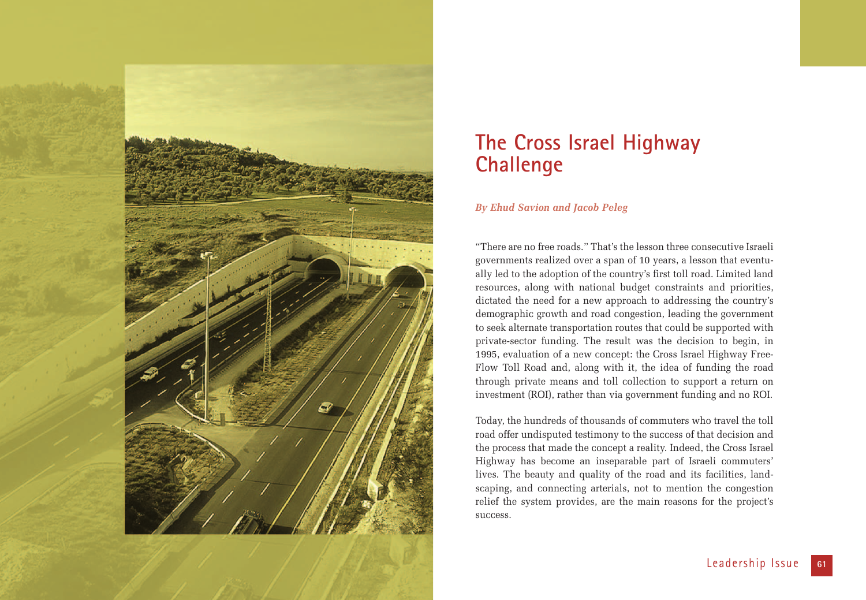

# **The Cross Israel Highway Challenge**

#### *By Ehud Savion and Jacob Peleg*

"There are no free roads." That's the lesson three consecutive Israeli governments realized over a span of 10 years, a lesson that eventually led to the adoption of the country's first toll road. Limited land resources, along with national budget constraints and priorities, dictated the need for a new approach to addressing the country's demographic growth and road congestion, leading the government to seek alternate transportation routes that could be supported with private-sector funding. The result was the decision to begin, in 1995, evaluation of a new concept: the Cross Israel Highway Free-Flow Toll Road and, along with it, the idea of funding the road through private means and toll collection to support a return on investment (ROI), rather than via government funding and no ROI.

Today, the hundreds of thousands of commuters who travel the toll road offer undisputed testimony to the success of that decision and the process that made the concept a reality. Indeed, the Cross Israel Highway has become an inseparable part of Israeli commuters' lives. The beauty and quality of the road and its facilities, landscaping, and connecting arterials, not to mention the congestion relief the system provides, are the main reasons for the project's success.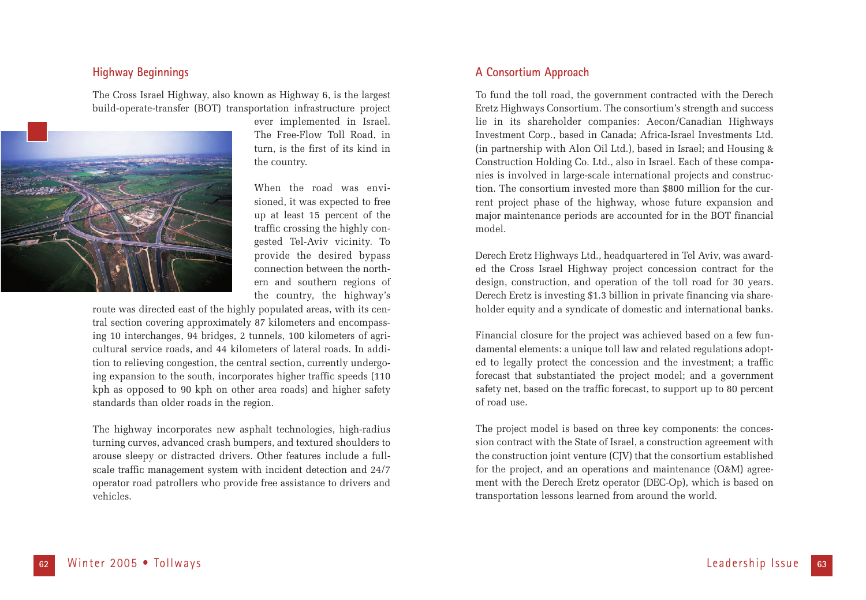# **Highway Beginnings**

The Cross Israel Highway, also known as Highway 6, is the largest build-operate-transfer (BOT) transportation infrastructure project



ever implemented in Israel. The Free-Flow Toll Road, in turn, is the first of its kind in the country.

When the road was envisioned, it was expected to free up at least 15 percent of the traffic crossing the highly congested Tel-Aviv vicinity. To provide the desired bypass connection between the northern and southern regions of the country, the highway's

route was directed east of the highly populated areas, with its central section covering approximately 87 kilometers and encompassing 10 interchanges, 94 bridges, 2 tunnels, 100 kilometers of agricultural service roads, and 44 kilometers of lateral roads. In addition to relieving congestion, the central section, currently undergoing expansion to the south, incorporates higher traffic speeds (110 kph as opposed to 90 kph on other area roads) and higher safety standards than older roads in the region.

The highway incorporates new asphalt technologies, high-radius turning curves, advanced crash bumpers, and textured shoulders to arouse sleepy or distracted drivers. Other features include a fullscale traffic management system with incident detection and 24/7 operator road patrollers who provide free assistance to drivers and vehicles.

## **A Consortium Approach**

To fund the toll road, the government contracted with the Derech Eretz Highways Consortium. The consortium's strength and success lie in its shareholder companies: Aecon/Canadian Highways Investment Corp., based in Canada; Africa-Israel Investments Ltd. (in partnership with Alon Oil Ltd.), based in Israel; and Housing & Construction Holding Co. Ltd., also in Israel. Each of these companies is involved in large-scale international projects and construction. The consortium invested more than \$800 million for the current project phase of the highway, whose future expansion and major maintenance periods are accounted for in the BOT financial model.

Derech Eretz Highways Ltd., headquartered in Tel Aviv, was awarded the Cross Israel Highway project concession contract for the design, construction, and operation of the toll road for 30 years. Derech Eretz is investing \$1.3 billion in private financing via shareholder equity and a syndicate of domestic and international banks.

Financial closure for the project was achieved based on a few fundamental elements: a unique toll law and related regulations adopted to legally protect the concession and the investment; a traffic forecast that substantiated the project model; and a government safety net, based on the traffic forecast, to support up to 80 percent of road use.

The project model is based on three key components: the concession contract with the State of Israel, a construction agreement with the construction joint venture (CJV) that the consortium established for the project, and an operations and maintenance (O&M) agreement with the Derech Eretz operator (DEC-Op), which is based on transportation lessons learned from around the world.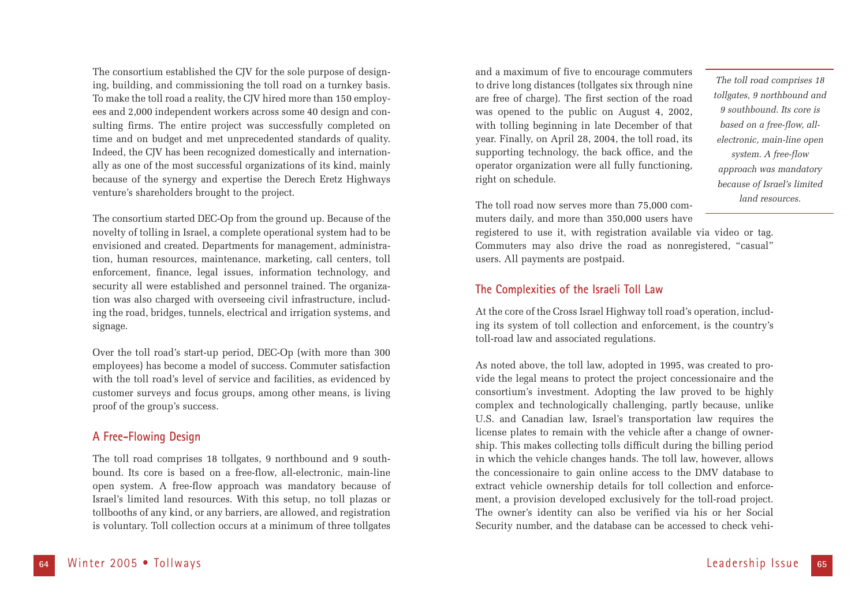The consortium established the CJV for the sole purpose of designing, building, and commissioning the toll road on a turnkey basis. To make the toll road a reality, the CJV hired more than 150 employees and 2,000 independent workers across some 40 design and consulting firms. The entire project was successfully completed on time and on budget and met unprecedented standards of quality. Indeed, the CJV has been recognized domestically and internationally as one of the most successful organizations of its kind, mainly because of the synergy and expertise the Derech Eretz Highways venture's shareholders brought to the project.

The consortium started DEC-Op from the ground up. Because of the novelty of tolling in Israel, a complete operational system had to be envisioned and created. Departments for management, administration, human resources, maintenance, marketing, call centers, toll enforcement, finance, legal issues, information technology, and security all were established and personnel trained. The organization was also charged with overseeing civil infrastructure, including the road, bridges, tunnels, electrical and irrigation systems, and signage.

Over the toll road's start-up period, DEC-Op (with more than 300 employees) has become a model of success. Commuter satisfaction with the toll road's level of service and facilities, as evidenced by customer surveys and focus groups, among other means, is living proof of the group's success.

# **A Free-Flowing Design**

The toll road comprises 18 tollgates, 9 northbound and 9 southbound. Its core is based on a free-flow, all-electronic, main-line open system. A free-flow approach was mandatory because of Israel's limited land resources. With this setup, no toll plazas or tollbooths of any kind, or any barriers, are allowed, and registration is voluntary. Toll collection occurs at a minimum of three tollgates

and a maximum of five to encourage commuters to drive long distances (tollgates six through nine are free of charge). The first section of the road was opened to the public on August 4, 2002, with tolling beginning in late December of that year. Finally, on April 28, 2004, the toll road, its supporting technology, the back office, and the operator organization were all fully functioning, right on schedule.

The toll road now serves more than 75,000 commuters daily, and more than 350,000 users have

registered to use it, with registration available via video or tag. Commuters may also drive the road as nonregistered, "casual" users. All payments are postpaid.

# **The Complexities of the Israeli Toll Law**

At the core of the Cross Israel Highway toll road's operation, including its system of toll collection and enforcement, is the country's toll-road law and associated regulations.

As noted above, the toll law, adopted in 1995, was created to provide the legal means to protect the project concessionaire and the consortium's investment. Adopting the law proved to be highly complex and technologically challenging, partly because, unlike U.S. and Canadian law, Israel's transportation law requires the license plates to remain with the vehicle after a change of ownership. This makes collecting tolls difficult during the billing period in which the vehicle changes hands. The toll law, however, allows the concessionaire to gain online access to the DMV database to extract vehicle ownership details for toll collection and enforcement, a provision developed exclusively for the toll-road project. The owner's identity can also be verified via his or her Social Security number, and the database can be accessed to check vehi-

*The toll road comprises 18 tollgates, 9 northbound and 9 southbound. Its core is based on a free-flow, allelectronic, main-line open system. A free-flow approach was mandatory because of Israel's limited land resources.*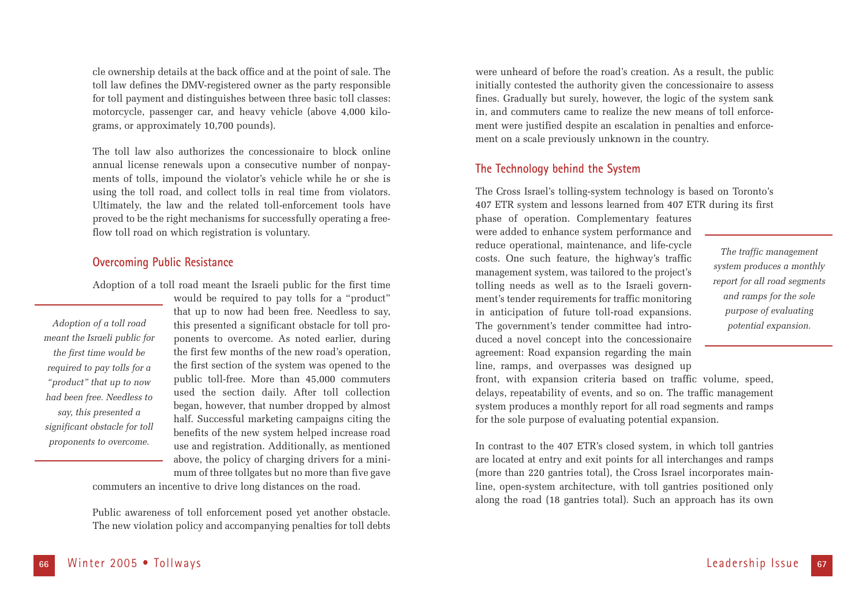cle ownership details at the back office and at the point of sale. The toll law defines the DMV-registered owner as the party responsible for toll payment and distinguishes between three basic toll classes: motorcycle, passenger car, and heavy vehicle (above 4,000 kilograms, or approximately 10,700 pounds).

The toll law also authorizes the concessionaire to block online annual license renewals upon a consecutive number of nonpayments of tolls, impound the violator's vehicle while he or she is using the toll road, and collect tolls in real time from violators. Ultimately, the law and the related toll-enforcement tools have proved to be the right mechanisms for successfully operating a freeflow toll road on which registration is voluntary.

## **Overcoming Public Resistance**

Adoption of a toll road meant the Israeli public for the first time

*Adoption of a toll road meant the Israeli public for the first time would be required to pay tolls for a "product" that up to now had been free. Needless to say, this presented a significant obstacle for toll proponents to overcome.* 

would be required to pay tolls for a "product" that up to now had been free. Needless to say, this presented a significant obstacle for toll proponents to overcome. As noted earlier, during the first few months of the new road's operation, the first section of the system was opened to the public toll-free. More than 45,000 commuters used the section daily. After toll collection began, however, that number dropped by almost half. Successful marketing campaigns citing the benefits of the new system helped increase road use and registration. Additionally, as mentioned above, the policy of charging drivers for a minimum of three tollgates but no more than five gave

commuters an incentive to drive long distances on the road.

Public awareness of toll enforcement posed yet another obstacle. The new violation policy and accompanying penalties for toll debts were unheard of before the road's creation. As a result, the public initially contested the authority given the concessionaire to assess fines. Gradually but surely, however, the logic of the system sank in, and commuters came to realize the new means of toll enforcement were justified despite an escalation in penalties and enforcement on a scale previously unknown in the country.

#### **The Technology behind the System**

The Cross Israel's tolling-system technology is based on Toronto's 407 ETR system and lessons learned from 407 ETR during its first

phase of operation. Complementary features were added to enhance system performance and reduce operational, maintenance, and life-cycle costs. One such feature, the highway's traffic management system, was tailored to the project's tolling needs as well as to the Israeli government's tender requirements for traffic monitoring in anticipation of future toll-road expansions. The government's tender committee had introduced a novel concept into the concessionaire agreement: Road expansion regarding the main line, ramps, and overpasses was designed up

*The traffic management system produces a monthly report for all road segments and ramps for the sole purpose of evaluating potential expansion.*

front, with expansion criteria based on traffic volume, speed, delays, repeatability of events, and so on. The traffic management system produces a monthly report for all road segments and ramps for the sole purpose of evaluating potential expansion.

In contrast to the 407 ETR's closed system, in which toll gantries are located at entry and exit points for all interchanges and ramps (more than 220 gantries total), the Cross Israel incorporates mainline, open-system architecture, with toll gantries positioned only along the road (18 gantries total). Such an approach has its own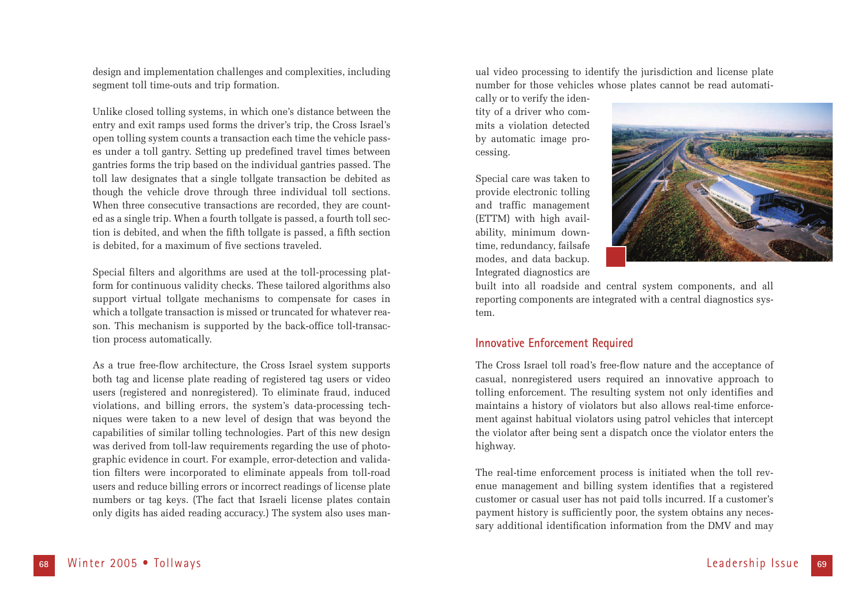design and implementation challenges and complexities, including segment toll time-outs and trip formation.

Unlike closed tolling systems, in which one's distance between the entry and exit ramps used forms the driver's trip, the Cross Israel's open tolling system counts a transaction each time the vehicle passes under a toll gantry. Setting up predefined travel times between gantries forms the trip based on the individual gantries passed. The toll law designates that a single tollgate transaction be debited as though the vehicle drove through three individual toll sections. When three consecutive transactions are recorded, they are counted as a single trip. When a fourth tollgate is passed, a fourth toll section is debited, and when the fifth tollgate is passed, a fifth section is debited, for a maximum of five sections traveled.

Special filters and algorithms are used at the toll-processing platform for continuous validity checks. These tailored algorithms also support virtual tollgate mechanisms to compensate for cases in which a tollgate transaction is missed or truncated for whatever reason. This mechanism is supported by the back-office toll-transaction process automatically.

As a true free-flow architecture, the Cross Israel system supports both tag and license plate reading of registered tag users or video users (registered and nonregistered). To eliminate fraud, induced violations, and billing errors, the system's data-processing techniques were taken to a new level of design that was beyond the capabilities of similar tolling technologies. Part of this new design was derived from toll-law requirements regarding the use of photographic evidence in court. For example, error-detection and validation filters were incorporated to eliminate appeals from toll-road users and reduce billing errors or incorrect readings of license plate numbers or tag keys. (The fact that Israeli license plates contain only digits has aided reading accuracy.) The system also uses manual video processing to identify the jurisdiction and license plate number for those vehicles whose plates cannot be read automati-

cally or to verify the identity of a driver who commits a violation detected by automatic image processing.

Special care was taken to provide electronic tolling and traffic management (ETTM) with high availability, minimum downtime, redundancy, failsafe modes, and data backup. Integrated diagnostics are



built into all roadside and central system components, and all reporting components are integrated with a central diagnostics system.

#### **Innovative Enforcement Required**

The Cross Israel toll road's free-flow nature and the acceptance of casual, nonregistered users required an innovative approach to tolling enforcement. The resulting system not only identifies and maintains a history of violators but also allows real-time enforcement against habitual violators using patrol vehicles that intercept the violator after being sent a dispatch once the violator enters the highway.

The real-time enforcement process is initiated when the toll revenue management and billing system identifies that a registered customer or casual user has not paid tolls incurred. If a customer's payment history is sufficiently poor, the system obtains any necessary additional identification information from the DMV and may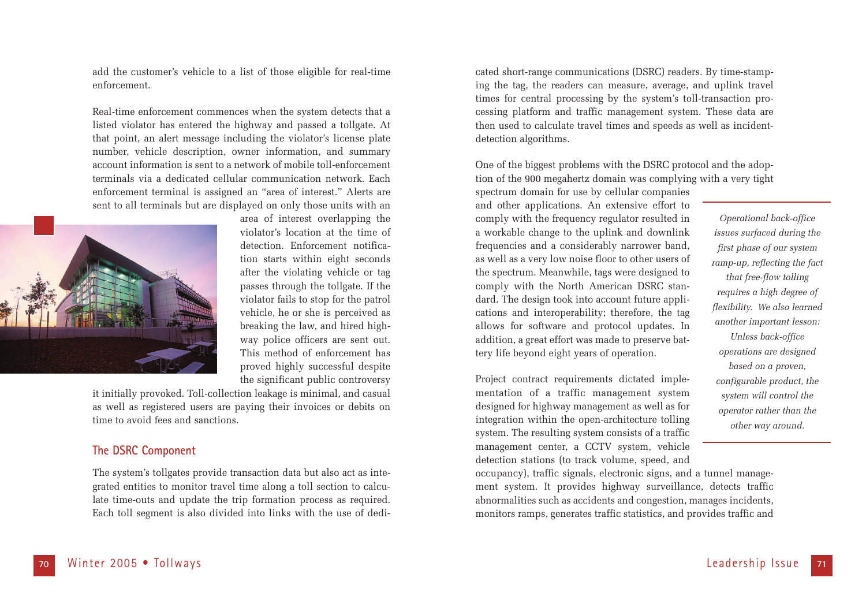add the customer's vehicle to a list of those eligible for real-time enforcement.

Real-time enforcement commences when the system detects that a listed violator has entered the highway and passed a tollgate. At that point, an alert message including the violator's license plate number, vehicle description, owner information, and summary account information is sent to a network of mobile toll-enforcement terminals via a dedicated cellular communication network. Each enforcement terminal is assigned an "area of interest." Alerts are sent to all terminals but are displayed on only those units with an



area of interest overlapping the violator's location at the time of detection. Enforcement notification starts within eight seconds after the violating vehicle or tag passes through the tollgate. If the violator fails to stop for the patrol vehicle, he or she is perceived as breaking the law, and hired highway police officers are sent out. This method of enforcement has proved highly successful despite the significant public controversy

it initially provoked. Toll-collection leakage is minimal, and casual as well as registered users are paying their invoices or debits on time to avoid fees and sanctions.

### **The DSRC Component**

The system's tollgates provide transaction data but also act as integrated entities to monitor travel time along a toll section to calculate time-outs and update the trip formation process as required. Each toll segment is also divided into links with the use of dedicated short-range communications (DSRC) readers. By time-stamping the tag, the readers can measure, average, and uplink travel times for central processing by the system's toll-transaction processing platform and traffic management system. These data are then used to calculate travel times and speeds as well as incidentdetection algorithms.

One of the biggest problems with the DSRC protocol and the adoption of the 900 megahertz domain was complying with a very tight spectrum domain for use by cellular companies

and other applications. An extensive effort to comply with the frequency regulator resulted in a workable change to the uplink and downlink frequencies and a considerably narrower band, as well as a very low noise floor to other users of the spectrum. Meanwhile, tags were designed to comply with the North American DSRC standard. The design took into account future applications and interoperability; therefore, the tag allows for software and protocol updates. In addition, a great effort was made to preserve battery life beyond eight years of operation.

Project contract requirements dictated implementation of a traffic management system designed for highway management as well as for integration within the open-architecture tolling system. The resulting system consists of a traffic management center, a CCTV system, vehicle detection stations (to track volume, speed, and

occupancy), traffic signals, electronic signs, and a tunnel management system. It provides highway surveillance, detects traffic abnormalities such as accidents and congestion, manages incidents, monitors ramps, generates traffic statistics, and provides traffic and

*Operational back-office issues surfaced during the first phase of our system ramp-up, reflecting the fact that free-flow tolling requires a high degree of flexibility. We also learned another important lesson: Unless back-office operations are designed based on a proven, configurable product, the system will control the operator rather than the other way around.*